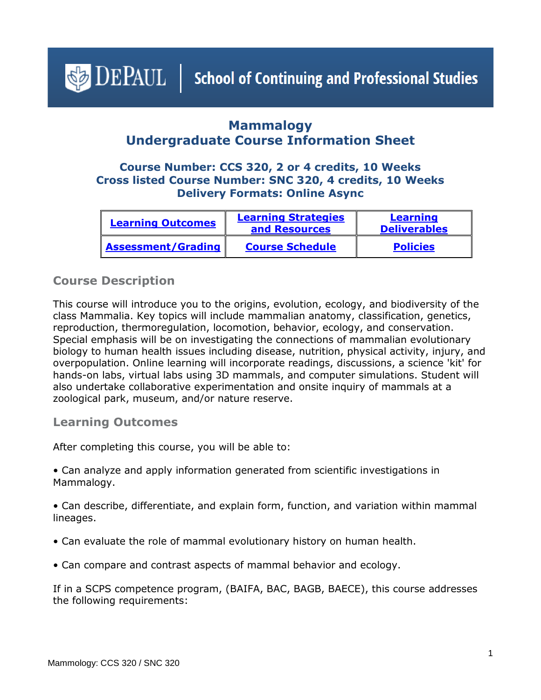<span id="page-0-1"></span> $\triangleleft$  DEPAUL | School of Continuing and Professional Studies

# **Mammalogy Undergraduate Course Information Sheet**

## **Course Number: CCS 320, 2 or 4 credits, 10 Weeks Cross listed Course Number: SNC 320, 4 credits, 10 Weeks Delivery Formats: Online Async**

| <b>Learning Outcomes</b> | <b>Learning Strategies</b><br>and Resources | <b>Learning</b><br><b>Deliverables</b> |
|--------------------------|---------------------------------------------|----------------------------------------|
| Assessment/Grading       | <b>Course Schedule</b>                      | <b>Policies</b>                        |

## **Course Description**

This course will introduce you to the origins, evolution, ecology, and biodiversity of the class Mammalia. Key topics will include mammalian anatomy, classification, genetics, reproduction, thermoregulation, locomotion, behavior, ecology, and conservation. Special emphasis will be on investigating the connections of mammalian evolutionary biology to human health issues including disease, nutrition, physical activity, injury, and overpopulation. Online learning will incorporate readings, discussions, a science 'kit' for hands-on labs, virtual labs using 3D mammals, and computer simulations. Student will also undertake collaborative experimentation and onsite inquiry of mammals at a zoological park, museum, and/or nature reserve.

### <span id="page-0-0"></span>**Learning Outcomes**

After completing this course, you will be able to:

• Can analyze and apply information generated from scientific investigations in Mammalogy.

• Can describe, differentiate, and explain form, function, and variation within mammal lineages.

- Can evaluate the role of mammal evolutionary history on human health.
- Can compare and contrast aspects of mammal behavior and ecology.

If in a SCPS competence program, (BAIFA, BAC, BAGB, BAECE), this course addresses the following requirements: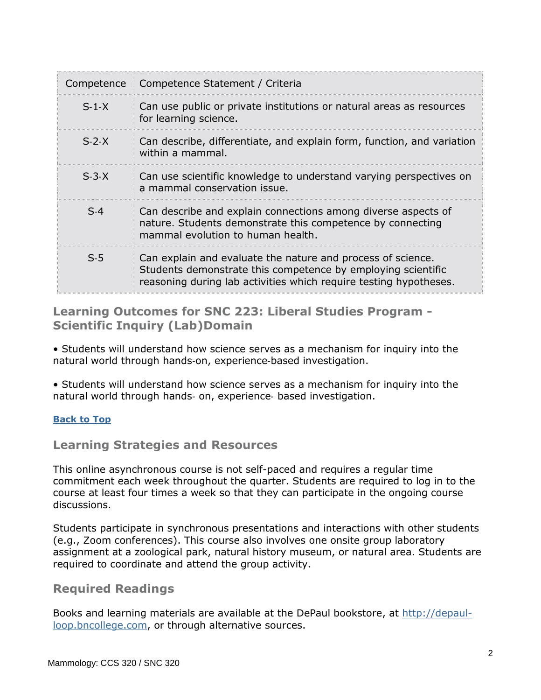| Competence | Competence Statement / Criteria                                                                                                                                                                  |
|------------|--------------------------------------------------------------------------------------------------------------------------------------------------------------------------------------------------|
| $S-1-X$    | Can use public or private institutions or natural areas as resources<br>for learning science.                                                                                                    |
| $S-2-X$    | Can describe, differentiate, and explain form, function, and variation<br>within a mammal.                                                                                                       |
| $S-3-X$    | Can use scientific knowledge to understand varying perspectives on<br>a mammal conservation issue.                                                                                               |
| $S-4$      | Can describe and explain connections among diverse aspects of<br>nature. Students demonstrate this competence by connecting<br>mammal evolution to human health.                                 |
| $S-5$      | Can explain and evaluate the nature and process of science.<br>Students demonstrate this competence by employing scientific<br>reasoning during lab activities which require testing hypotheses. |

## <span id="page-1-0"></span>**Learning Outcomes for SNC 223: Liberal Studies Program - Scientific Inquiry (Lab)Domain**

• Students will understand how science serves as a mechanism for inquiry into the natural world through hands‐on, experience‐based investigation.

• Students will understand how science serves as a mechanism for inquiry into the natural world through hands‐ on, experience‐ based investigation.

### **[Back to Top](#page-0-1)**

## **Learning Strategies and Resources**

This online asynchronous course is not self-paced and requires a regular time commitment each week throughout the quarter. Students are required to log in to the course at least four times a week so that they can participate in the ongoing course discussions.

Students participate in synchronous presentations and interactions with other students (e.g., Zoom conferences). This course also involves one onsite group laboratory assignment at a zoological park, natural history museum, or natural area. Students are required to coordinate and attend the group activity.

### **Required Readings**

Books and learning materials are available at the DePaul bookstore, at [http://depaul](http://depaul-loop.bncollege.com/)[loop.bncollege.com,](http://depaul-loop.bncollege.com/) or through alternative sources.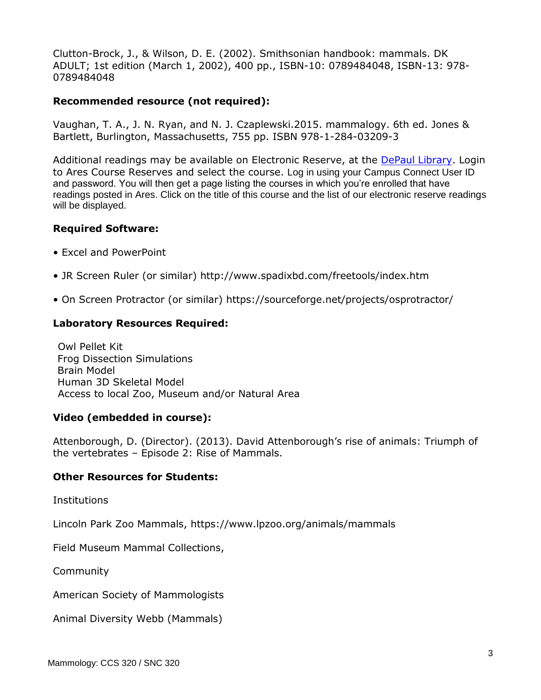Clutton-Brock, J., & Wilson, D. E. (2002). Smithsonian handbook: mammals. DK ADULT; 1st edition (March 1, 2002), 400 pp., ISBN-10: 0789484048, ISBN-13: 978- 0789484048

#### **Recommended resource (not required):**

Vaughan, T. A., J. N. Ryan, and N. J. Czaplewski.2015. mammalogy. 6th ed. Jones & Bartlett, Burlington, Massachusetts, 755 pp. ISBN 978-1-284-03209-3

Additional readings may be available on Electronic Reserve, at the [DePaul Library.](https://library.depaul.edu/services/Pages/Course-Reserves-Services.aspx) Login to Ares Course Reserves and select the course. Log in using your Campus Connect User ID and password. You will then get a page listing the courses in which you're enrolled that have readings posted in Ares. Click on the title of this course and the list of our electronic reserve readings will be displayed.

#### **Required Software:**

- Excel and PowerPoint
- JR Screen Ruler (or similar) http://www.spadixbd.com/freetools/index.htm
- On Screen Protractor (or similar) https://sourceforge.net/projects/osprotractor/

### **Laboratory Resources Required:**

 Owl Pellet Kit Frog Dissection Simulations Brain Model Human 3D Skeletal Model Access to local Zoo, Museum and/or Natural Area

#### **Video (embedded in course):**

Attenborough, D. (Director). (2013). David Attenborough's rise of animals: Triumph of the vertebrates – Episode 2: Rise of Mammals.

#### **Other Resources for Students:**

**Institutions** 

Lincoln Park Zoo Mammals, https://www.lpzoo.org/animals/mammals

Field Museum Mammal Collections,

Community

American Society of Mammologists

Animal Diversity Webb (Mammals)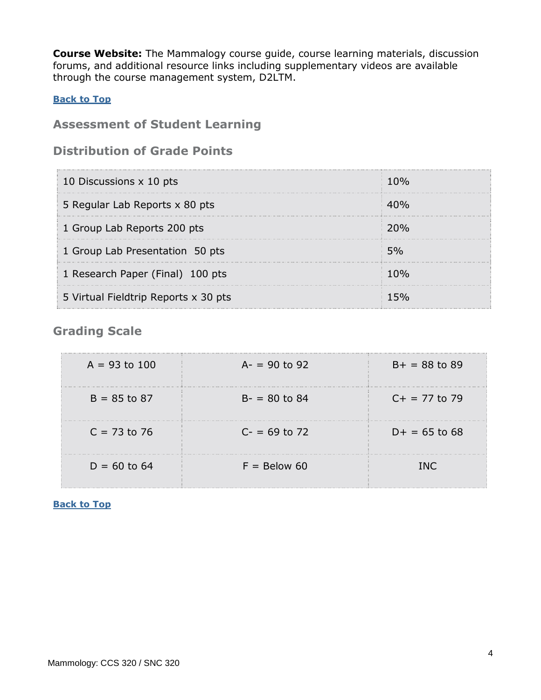**Course Website:** The Mammalogy course guide, course learning materials, discussion forums, and additional resource links including supplementary videos are available through the course management system, D2LTM.

### **[Back to Top](#page-0-1)**

## <span id="page-3-0"></span>**Assessment of Student Learning**

## **Distribution of Grade Points**

| 10 Discussions x 10 pts              | 10%             |
|--------------------------------------|-----------------|
| 5 Regular Lab Reports x 80 pts       | 40%             |
| 1 Group Lab Reports 200 pts          | 20 <sub>%</sub> |
| 1 Group Lab Presentation 50 pts      | 5%              |
| 1 Research Paper (Final) 100 pts     | 10%             |
| 5 Virtual Fieldtrip Reports x 30 pts |                 |

## **Grading Scale**

| $A = 93$ to 100 | $A = 90$ to 92 | $B+ = 88$ to 89 |
|-----------------|----------------|-----------------|
| $B = 85$ to 87  | $B - 80$ to 84 | $C+ = 77$ to 79 |
| $C = 73$ to 76  | $C = 69$ to 72 | $D+ = 65$ to 68 |
| $D = 60$ to 64  | $F =$ Below 60 | INC.            |

#### <span id="page-3-1"></span>**[Back to Top](#page-0-1)**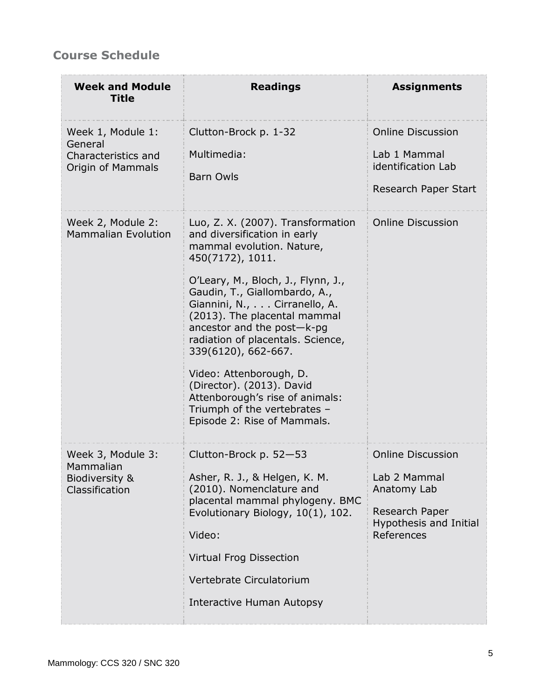# **Course Schedule**

| <b>Week and Module</b><br><b>Title</b>                                   | <b>Readings</b>                                                                                                                                                                                                                                                                                                                                                                                                                                                                                               | <b>Assignments</b>                                                                                                |
|--------------------------------------------------------------------------|---------------------------------------------------------------------------------------------------------------------------------------------------------------------------------------------------------------------------------------------------------------------------------------------------------------------------------------------------------------------------------------------------------------------------------------------------------------------------------------------------------------|-------------------------------------------------------------------------------------------------------------------|
| Week 1, Module 1:<br>General<br>Characteristics and<br>Origin of Mammals | Clutton-Brock p. 1-32<br>Multimedia:<br><b>Barn Owls</b>                                                                                                                                                                                                                                                                                                                                                                                                                                                      | <b>Online Discussion</b><br>Lab 1 Mammal<br>identification Lab<br>Research Paper Start                            |
| Week 2, Module 2:<br><b>Mammalian Evolution</b>                          | Luo, Z. X. (2007). Transformation<br>and diversification in early<br>mammal evolution. Nature,<br>450(7172), 1011.<br>O'Leary, M., Bloch, J., Flynn, J.,<br>Gaudin, T., Giallombardo, A.,<br>Giannini, N., Cirranello, A.<br>(2013). The placental mammal<br>ancestor and the post-k-pg<br>radiation of placentals. Science,<br>339(6120), 662-667.<br>Video: Attenborough, D.<br>(Director). (2013). David<br>Attenborough's rise of animals:<br>Triumph of the vertebrates -<br>Episode 2: Rise of Mammals. | <b>Online Discussion</b>                                                                                          |
| Week 3, Module 3:<br>Mammalian<br>Biodiversity &<br>Classification       | Clutton-Brock p. 52-53<br>Asher, R. J., & Helgen, K. M.<br>(2010). Nomenclature and<br>placental mammal phylogeny. BMC<br>Evolutionary Biology, 10(1), 102.<br>Video:<br><b>Virtual Frog Dissection</b><br>Vertebrate Circulatorium<br>Interactive Human Autopsy                                                                                                                                                                                                                                              | <b>Online Discussion</b><br>Lab 2 Mammal<br>Anatomy Lab<br>Research Paper<br>Hypothesis and Initial<br>References |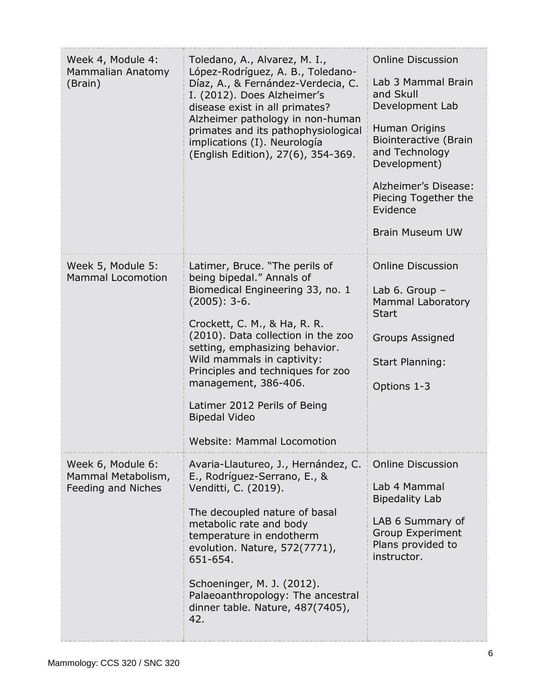| Week 4, Module 4:<br>Mammalian Anatomy<br>(Brain)             | Toledano, A., Alvarez, M. I.,<br>López-Rodríguez, A. B., Toledano-<br>Díaz, A., & Fernández-Verdecia, C.<br>I. (2012). Does Alzheimer's<br>disease exist in all primates?<br>Alzheimer pathology in non-human<br>primates and its pathophysiological<br>implications (I). Neurología<br>(English Edition), 27(6), 354-369.                                                                                 | <b>Online Discussion</b><br>Lab 3 Mammal Brain<br>and Skull<br>Development Lab<br>Human Origins<br><b>Biointeractive (Brain</b><br>and Technology<br>Development)<br>Alzheimer's Disease:<br>Piecing Together the<br>Evidence<br><b>Brain Museum UW</b> |
|---------------------------------------------------------------|------------------------------------------------------------------------------------------------------------------------------------------------------------------------------------------------------------------------------------------------------------------------------------------------------------------------------------------------------------------------------------------------------------|---------------------------------------------------------------------------------------------------------------------------------------------------------------------------------------------------------------------------------------------------------|
| Week 5, Module 5:<br><b>Mammal Locomotion</b>                 | Latimer, Bruce. "The perils of<br>being bipedal." Annals of<br>Biomedical Engineering 33, no. 1<br>$(2005): 3-6.$<br>Crockett, C. M., & Ha, R. R.<br>(2010). Data collection in the zoo<br>setting, emphasizing behavior.<br>Wild mammals in captivity:<br>Principles and techniques for zoo<br>management, 386-406.<br>Latimer 2012 Perils of Being<br><b>Bipedal Video</b><br>Website: Mammal Locomotion | <b>Online Discussion</b><br>Lab $6.$ Group $-$<br><b>Mammal Laboratory</b><br><b>Start</b><br><b>Groups Assigned</b><br><b>Start Planning:</b><br>Options 1-3                                                                                           |
| Week 6, Module 6:<br>Mammal Metabolism,<br>Feeding and Niches | Avaria-Llautureo, J., Hernández, C.<br>E., Rodríguez-Serrano, E., &<br>Venditti, C. (2019).<br>The decoupled nature of basal<br>metabolic rate and body<br>temperature in endotherm<br>evolution. Nature, 572(7771),<br>651-654.<br>Schoeninger, M. J. (2012).<br>Palaeoanthropology: The ancestral<br>dinner table. Nature, 487(7405),<br>42.                                                             | <b>Online Discussion</b><br>Lab 4 Mammal<br><b>Bipedality Lab</b><br>LAB 6 Summary of<br><b>Group Experiment</b><br>Plans provided to<br>instructor.                                                                                                    |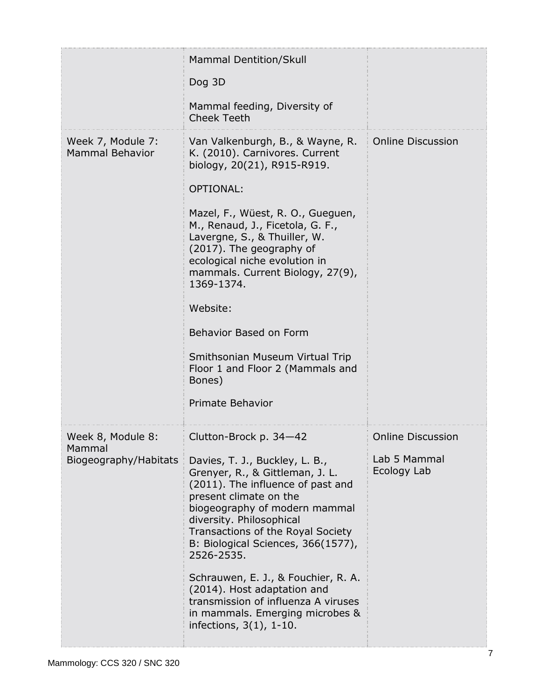|                                                      | <b>Mammal Dentition/Skull</b><br>Dog 3D<br>Mammal feeding, Diversity of<br><b>Cheek Teeth</b>                                                                                                                                                                                                                                                                                                                                                                                                     |                                                         |
|------------------------------------------------------|---------------------------------------------------------------------------------------------------------------------------------------------------------------------------------------------------------------------------------------------------------------------------------------------------------------------------------------------------------------------------------------------------------------------------------------------------------------------------------------------------|---------------------------------------------------------|
| Week 7, Module 7:<br><b>Mammal Behavior</b>          | Van Valkenburgh, B., & Wayne, R.<br>K. (2010). Carnivores. Current<br>biology, 20(21), R915-R919.<br><b>OPTIONAL:</b><br>Mazel, F., Wüest, R. O., Gueguen,<br>M., Renaud, J., Ficetola, G. F.,<br>Lavergne, S., & Thuiller, W.<br>(2017). The geography of<br>ecological niche evolution in<br>mammals. Current Biology, 27(9),<br>1369-1374.<br>Website:<br>Behavior Based on Form<br>Smithsonian Museum Virtual Trip<br>Floor 1 and Floor 2 (Mammals and<br>Bones)<br>Primate Behavior          | <b>Online Discussion</b>                                |
| Week 8, Module 8:<br>Mammal<br>Biogeography/Habitats | Clutton-Brock p. 34-42<br>Davies, T. J., Buckley, L. B.,<br>Grenyer, R., & Gittleman, J. L.<br>(2011). The influence of past and<br>present climate on the<br>biogeography of modern mammal<br>diversity. Philosophical<br>Transactions of the Royal Society<br>B: Biological Sciences, 366(1577),<br>2526-2535.<br>Schrauwen, E. J., & Fouchier, R. A.<br>(2014). Host adaptation and<br>transmission of influenza A viruses<br>in mammals. Emerging microbes &<br>infections, $3(1)$ , $1-10$ . | <b>Online Discussion</b><br>Lab 5 Mammal<br>Ecology Lab |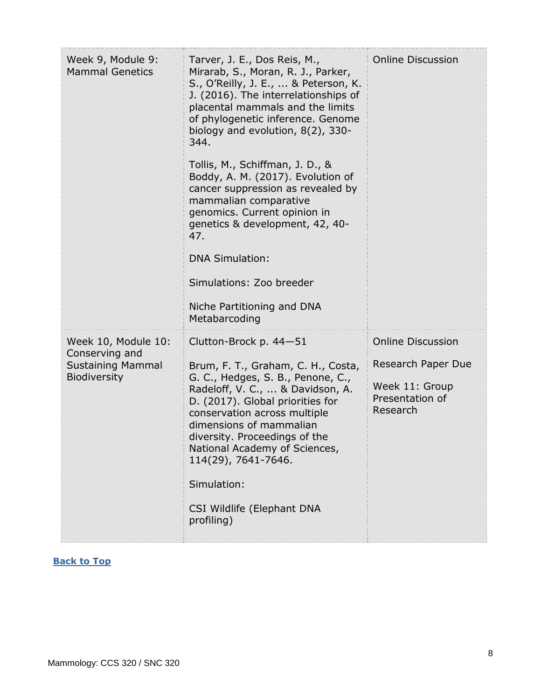| Week 9, Module 9:<br><b>Mammal Genetics</b>                                              | Tarver, J. E., Dos Reis, M.,<br>Mirarab, S., Moran, R. J., Parker,<br>S., O'Reilly, J. E.,  & Peterson, K.<br>J. (2016). The interrelationships of<br>placental mammals and the limits<br>of phylogenetic inference. Genome<br>biology and evolution, $8(2)$ , 330-<br>344.<br>Tollis, M., Schiffman, J. D., &<br>Boddy, A. M. (2017). Evolution of<br>cancer suppression as revealed by<br>mammalian comparative<br>genomics. Current opinion in<br>genetics & development, 42, 40-<br>47.<br><b>DNA Simulation:</b><br>Simulations: Zoo breeder<br>Niche Partitioning and DNA<br>Metabarcoding | <b>Online Discussion</b>                                                                        |
|------------------------------------------------------------------------------------------|--------------------------------------------------------------------------------------------------------------------------------------------------------------------------------------------------------------------------------------------------------------------------------------------------------------------------------------------------------------------------------------------------------------------------------------------------------------------------------------------------------------------------------------------------------------------------------------------------|-------------------------------------------------------------------------------------------------|
| Week 10, Module 10:<br>Conserving and<br><b>Sustaining Mammal</b><br><b>Biodiversity</b> | Clutton-Brock p. $44 - 51$<br>Brum, F. T., Graham, C. H., Costa,<br>G. C., Hedges, S. B., Penone, C.,<br>Radeloff, V. C.,  & Davidson, A.<br>D. (2017). Global priorities for<br>conservation across multiple<br>dimensions of mammalian<br>diversity. Proceedings of the<br>National Academy of Sciences,<br>114(29), 7641-7646.<br>Simulation:<br>CSI Wildlife (Elephant DNA<br>profiling)                                                                                                                                                                                                     | <b>Online Discussion</b><br>Research Paper Due<br>Week 11: Group<br>Presentation of<br>Research |

## <span id="page-7-0"></span>**[Back to Top](#page-0-1)**